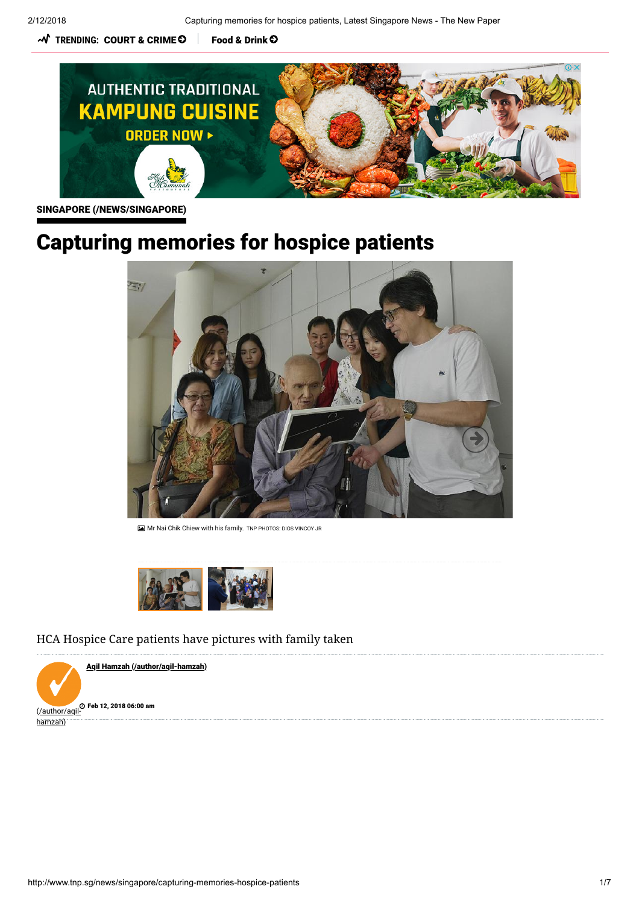$\boldsymbol{\mathcal{N}}$  TRENDING: [COURT & CRIME](http://www.tnp.sg/tag/court-crime)  $\boldsymbol{\mathsf{\Theta}}$   $\parallel$  [Food & Drink](http://www.tnp.sg/tag/food-drink)  $\boldsymbol{\mathsf{\Theta}}$ 



[SINGAPORE \(/NEWS/SINGAPORE\)](http://www.tnp.sg/news/singapore)

# Capturing memories for hospice patients

<span id="page-0-0"></span>

Mr Nai Chik Chiew with his family. TNP PHOTOS: DIOS VINCOY JR



HCA Hospice Care patients have pictures with family taken

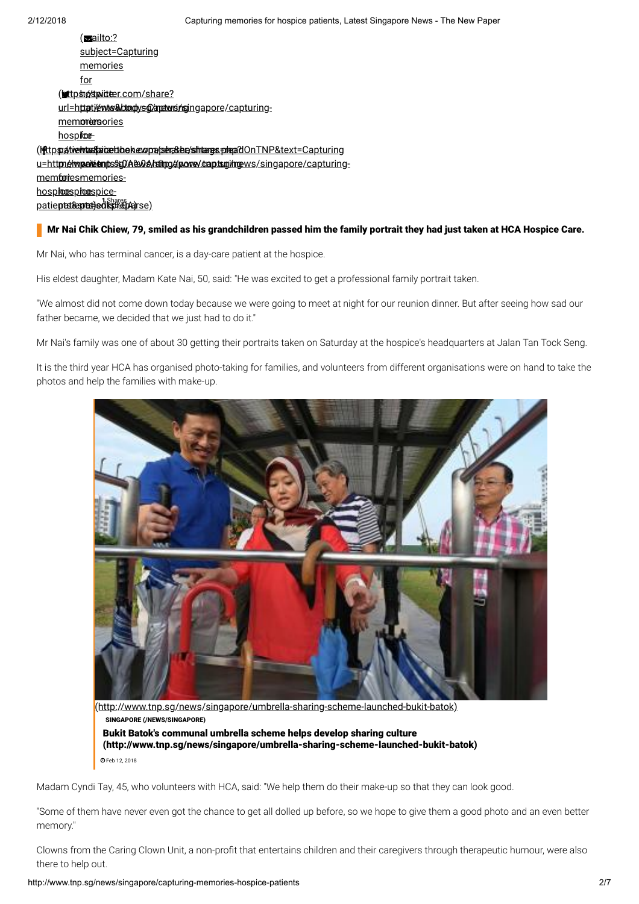| <u>(sailto:?</u>                                                                                       |
|--------------------------------------------------------------------------------------------------------|
| <u>subject=Capturing</u>                                                                               |
| memories                                                                                               |
| for                                                                                                    |
| <u>(ettps://detailter.com/share?</u>                                                                   |
| url=httpt/ewww9ddtodys@/apetwrsingapore/capturing-                                                     |
| mem <b>press</b> ories                                                                                 |
| <u>hospifcœ-</u>                                                                                       |
| (httpspalviewhussfaaiceeltbeheologa/ssena&be/sshinaarges.pologa2dOnTNP&text=Capturing                  |
| <u>u=httm<i>é</i>lwpeileienitsse0/A&amp;No&amp;haling/alpowey/captsrgi/ingews/singapore/capturing-</u> |
| mem <b>for</b> iesmemories-                                                                            |
| <u>hosphooesphooespice-</u>                                                                            |
| <u>patie<b>ptat&amp;aptatiedksf&amp;dAa</b>rse)</u>                                                    |

### Mr Nai Chik Chiew, 79, smiled as his grandchildren passed him the family portrait they had just taken at HCA Hospice Care.

Mr Nai, who has terminal cancer, is a day-care patient at the hospice.

His eldest daughter, Madam Kate Nai, 50, said: "He was excited to get a professional family portrait taken.

"We almost did not come down today because we were going to meet at night for our reunion dinner. But after seeing how sad our father became, we decided that we just had to do it."

Mr Nai's family was one of about 30 getting their portraits taken on Saturday at the hospice's headquarters at Jalan Tan Tock Seng.

It is the third year HCA has organised photo-taking for families, and volunteers from different organisations were on hand to take the photos and help the families with make-up.



[\(http://www.tnp.sg/news/singapore/umbrella-sharing-scheme-launched-bukit-batok\)](http://www.tnp.sg/news/singapore/umbrella-sharing-scheme-launched-bukit-batok) Bukit Batok's communal umbrella scheme helps develop sharing culture [\(http://www.tnp.sg/news/singapore/umbrella-sharing-scheme-launched-bukit-batok\)](http://www.tnp.sg/news/singapore/umbrella-sharing-scheme-launched-bukit-batok) [SINGAPORE \(/NEWS/SINGAPORE\)](http://www.tnp.sg/news/singapore) Feb 12, 2018

Madam Cyndi Tay, 45, who volunteers with HCA, said: "We help them do their make-up so that they can look good.

"Some of them have never even got the chance to get all dolled up before, so we hope to give them a good photo and an even better memory."

Clowns from the Caring Clown Unit, a non-profit that entertains children and their caregivers through therapeutic humour, were also there to help out.